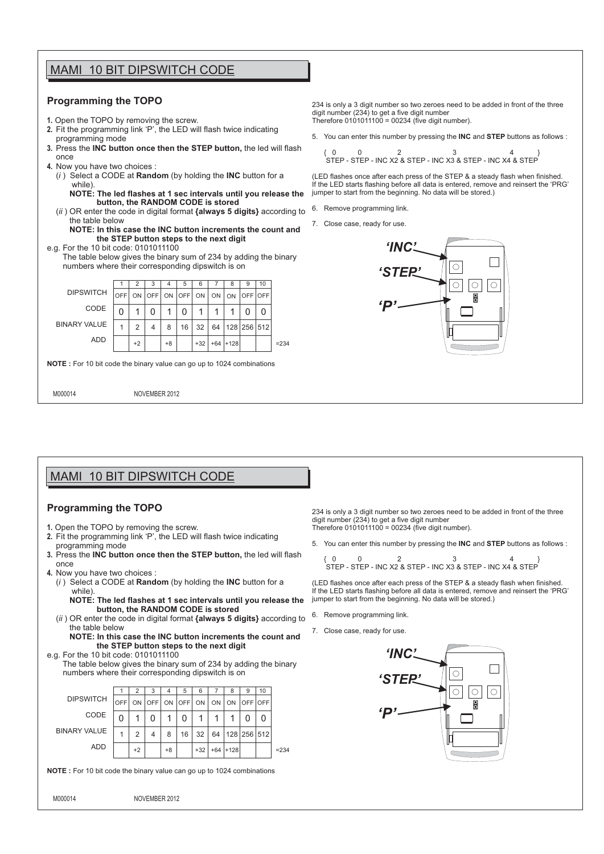## MAMI 10 BIT DIPSWITCH CODE

#### **Programming the TOPO**

- **1.** Open the TOPO by removing the screw.
- **2.** Fit the programming link 'P', the LED will flash twice indicating programming mode
- **3.** Press the **INC button once then the STEP button,** the led will flash once
- **4.** Now you have two choices :
	- (*i* ) Select a CODE at **Random** (by holding the **INC** button for a while)
		- **NOTE: The led flashes at 1 sec intervals until you release the button, the RANDOM CODE is stored**
	- (*ii* ) OR enter the code in digital format **{always 5 digits}** according to the table below
	- **NOTE: In this case the INC button increments the count and the STEP button steps to the next digit**
- e.g. For the 10 bit code: 0101011100 The table below gives the binary sum of 234 by adding the binary



234 is only a 3 digit number so two zeroes need to be added in front of the three digit number (234) to get a five digit number Therefore 0101011100 = 00234 (five digit number).

5. You can enter this number by pressing the **INC** and **STEP** buttons as follows :

{ 0 0 2 3 4 } STEP - STEP - INC X2 & STEP - INC X3 & STEP - INC X4 & STEP

(LED flashes once after each press of the STEP & a steady flash when finished. If the LED starts flashing before all data is entered, remove and reinsert the 'PRG' jumper to start from the beginning. No data will be stored.)

- 6. Remove programming link.
- 7. Close case, ready for use.



# MAMI 10 BIT DIPSWITCH CODE

### **Programming the TOPO**

- **1.** Open the TOPO by removing the screw.
- **2.** Fit the programming link 'P', the LED will flash twice indicating programming mode
- **3.** Press the **INC button once then the STEP button,** the led will flash once
- **4.** Now you have two choices :
	- (*i* ) Select a CODE at **Random** (by holding the **INC** button for a while)
		- **NOTE: The led flashes at 1 sec intervals until you release the button, the RANDOM CODE is stored**
	- (*ii* ) OR enter the code in digital format **{always 5 digits}** according to the table below
		- **NOTE: In this case the INC button increments the count and the STEP button steps to the next digit**

## e.g. For the 10 bit code: 0101011100

 The table below gives the binary sum of 234 by adding the binary numbers where their corresponding dipswitch is on



**NOTE :** For 10 bit code the binary value can go up to 1024 combinations

M000014 NOVEMBER 2012

234 is only a 3 digit number so two zeroes need to be added in front of the three digit number (234) to get a five digit number Therefore 0101011100 = 00234 (five digit number).

5. You can enter this number by pressing the **INC** and **STEP** buttons as follows :

$$
\left\{\n \begin{array}{ccc}\n 0 & 0 & 2 \\
\text{STEP - STEP - INC X2 & STEP - INC X3 & STEP - INC X4 & STEP\n \end{array}\n\right.
$$

(LED flashes once after each press of the STEP & a steady flash when finished. If the LED starts flashing before all data is entered, remove and reinsert the 'PRG' jumper to start from the beginning. No data will be stored.)

- 6. Remove programming link.
- 7. Close case, ready for use.